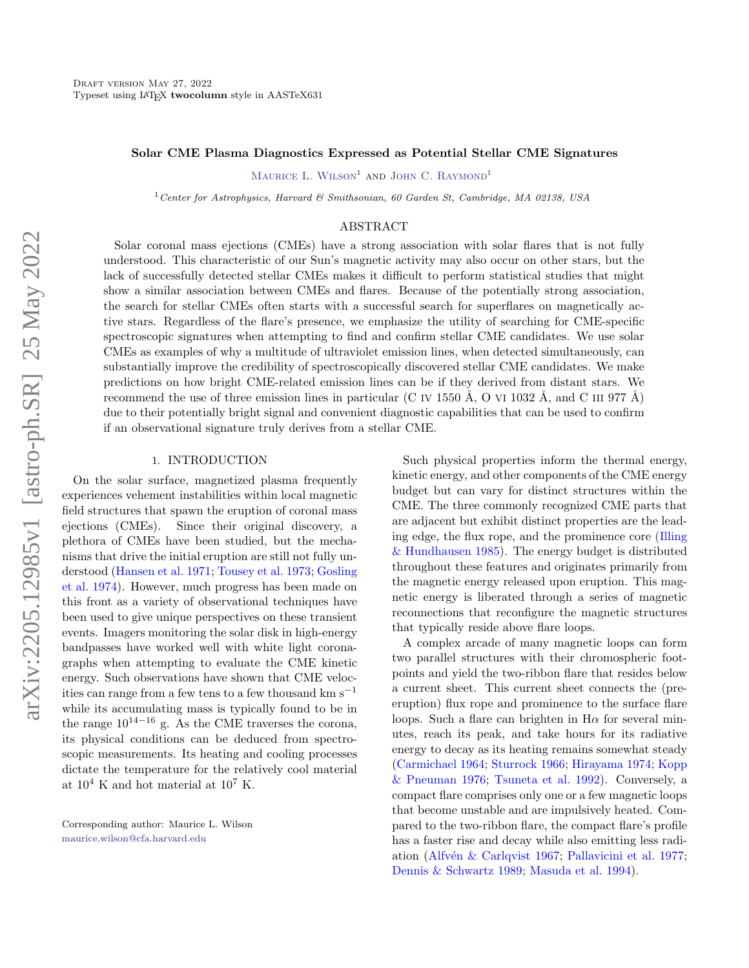# Solar CME Plasma Diagnostics Expressed as Potential Stellar CME Signatures

MAURICE L. WILSON<sup>1</sup> AND JOHN C. RAYMOND<sup>1</sup>

<sup>1</sup> Center for Astrophysics, Harvard & Smithsonian, 60 Garden St, Cambridge, MA 02138, USA

### ABSTRACT

Solar coronal mass ejections (CMEs) have a strong association with solar flares that is not fully understood. This characteristic of our Sun's magnetic activity may also occur on other stars, but the lack of successfully detected stellar CMEs makes it difficult to perform statistical studies that might show a similar association between CMEs and flares. Because of the potentially strong association, the search for stellar CMEs often starts with a successful search for superflares on magnetically active stars. Regardless of the flare's presence, we emphasize the utility of searching for CME-specific spectroscopic signatures when attempting to find and confirm stellar CME candidates. We use solar CMEs as examples of why a multitude of ultraviolet emission lines, when detected simultaneously, can substantially improve the credibility of spectroscopically discovered stellar CME candidates. We make predictions on how bright CME-related emission lines can be if they derived from distant stars. We recommend the use of three emission lines in particular (C IV 1550 Å, O VI 1032 Å, and C III 977 Å) due to their potentially bright signal and convenient diagnostic capabilities that can be used to confirm if an observational signature truly derives from a stellar CME.

### 1. INTRODUCTION

On the solar surface, magnetized plasma frequently experiences vehement instabilities within local magnetic field structures that spawn the eruption of coronal mass ejections (CMEs). Since their original discovery, a plethora of CMEs have been studied, but the mechanisms that drive the initial eruption are still not fully understood [\(Hansen et al.](#page-10-0) [1971;](#page-10-0) [Tousey et al.](#page-11-0) [1973;](#page-11-0) [Gosling](#page-10-1) [et al.](#page-10-1) [1974\)](#page-10-1). However, much progress has been made on this front as a variety of observational techniques have been used to give unique perspectives on these transient events. Imagers monitoring the solar disk in high-energy bandpasses have worked well with white light coronagraphs when attempting to evaluate the CME kinetic energy. Such observations have shown that CME velocities can range from a few tens to a few thousand km  $s^{-1}$ while its accumulating mass is typically found to be in the range  $10^{14-16}$  g. As the CME traverses the corona, its physical conditions can be deduced from spectroscopic measurements. Its heating and cooling processes dictate the temperature for the relatively cool material at  $10^4$  K and hot material at  $10^7$  K.

Corresponding author: Maurice L. Wilson [maurice.wilson@cfa.harvard.edu](mailto: maurice.wilson@cfa.harvard.edu)

Such physical properties inform the thermal energy, kinetic energy, and other components of the CME energy budget but can vary for distinct structures within the CME. The three commonly recognized CME parts that are adjacent but exhibit distinct properties are the leading edge, the flux rope, and the prominence core [\(Illing](#page-10-2) [& Hundhausen](#page-10-2) [1985\)](#page-10-2). The energy budget is distributed throughout these features and originates primarily from the magnetic energy released upon eruption. This magnetic energy is liberated through a series of magnetic reconnections that reconfigure the magnetic structures that typically reside above flare loops.

A complex arcade of many magnetic loops can form two parallel structures with their chromospheric footpoints and yield the two-ribbon flare that resides below a current sheet. This current sheet connects the (preeruption) flux rope and prominence to the surface flare loops. Such a flare can brighten in  $H\alpha$  for several minutes, reach its peak, and take hours for its radiative energy to decay as its heating remains somewhat steady [\(Carmichael](#page-9-0) [1964;](#page-9-0) [Sturrock](#page-11-1) [1966;](#page-11-1) [Hirayama](#page-10-3) [1974;](#page-10-3) [Kopp](#page-10-4) [& Pneuman](#page-10-4) [1976;](#page-10-4) [Tsuneta et al.](#page-11-2) [1992\)](#page-11-2). Conversely, a compact flare comprises only one or a few magnetic loops that become unstable and are impulsively heated. Compared to the two-ribbon flare, the compact flare's profile has a faster rise and decay while also emitting less radi-ation (Alfvén & Carlqvist [1967;](#page-9-1) [Pallavicini et al.](#page-10-5) [1977;](#page-10-5) [Dennis & Schwartz](#page-9-2) [1989;](#page-9-2) [Masuda et al.](#page-10-6) [1994\)](#page-10-6).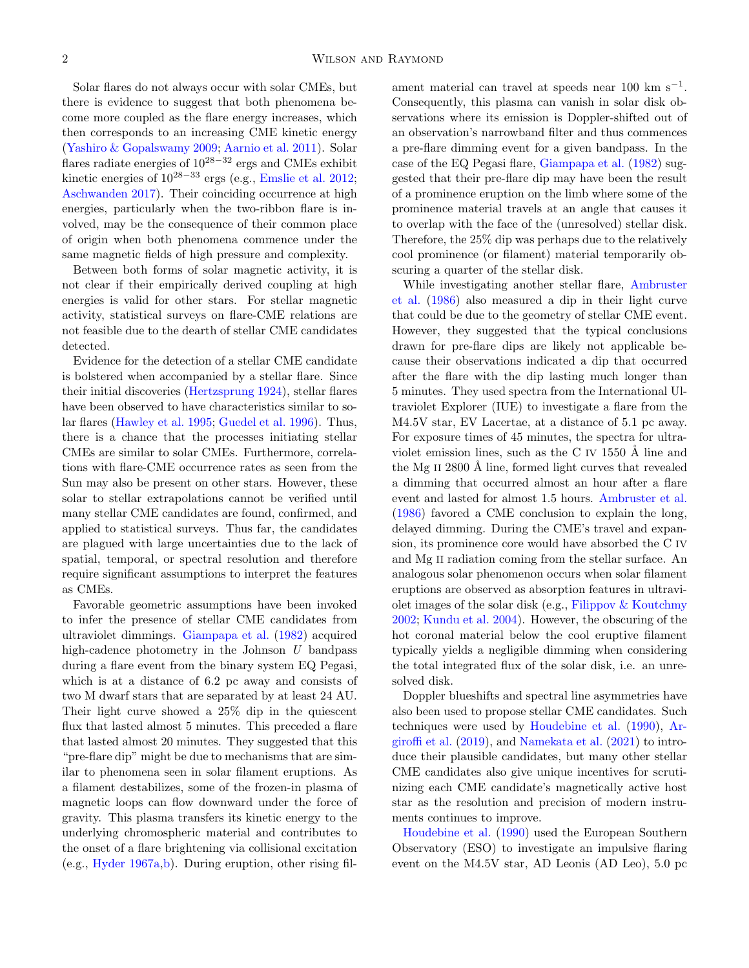Solar flares do not always occur with solar CMEs, but there is evidence to suggest that both phenomena become more coupled as the flare energy increases, which then corresponds to an increasing CME kinetic energy [\(Yashiro & Gopalswamy](#page-11-3) [2009;](#page-11-3) [Aarnio et al.](#page-9-3) [2011\)](#page-9-3). Solar flares radiate energies of  $10^{28-32}$  ergs and CMEs exhibit kinetic energies of  $10^{28-33}$  ergs (e.g., [Emslie et al.](#page-10-7) [2012;](#page-10-7) [Aschwanden](#page-9-4) [2017\)](#page-9-4). Their coinciding occurrence at high energies, particularly when the two-ribbon flare is involved, may be the consequence of their common place of origin when both phenomena commence under the same magnetic fields of high pressure and complexity.

Between both forms of solar magnetic activity, it is not clear if their empirically derived coupling at high energies is valid for other stars. For stellar magnetic activity, statistical surveys on flare-CME relations are not feasible due to the dearth of stellar CME candidates detected.

Evidence for the detection of a stellar CME candidate is bolstered when accompanied by a stellar flare. Since their initial discoveries [\(Hertzsprung](#page-10-8) [1924\)](#page-10-8), stellar flares have been observed to have characteristics similar to solar flares [\(Hawley et al.](#page-10-9) [1995;](#page-10-9) [Guedel et al.](#page-10-10) [1996\)](#page-10-10). Thus, there is a chance that the processes initiating stellar CMEs are similar to solar CMEs. Furthermore, correlations with flare-CME occurrence rates as seen from the Sun may also be present on other stars. However, these solar to stellar extrapolations cannot be verified until many stellar CME candidates are found, confirmed, and applied to statistical surveys. Thus far, the candidates are plagued with large uncertainties due to the lack of spatial, temporal, or spectral resolution and therefore require significant assumptions to interpret the features as CMEs.

Favorable geometric assumptions have been invoked to infer the presence of stellar CME candidates from ultraviolet dimmings. [Giampapa et al.](#page-10-11) [\(1982\)](#page-10-11) acquired high-cadence photometry in the Johnson U bandpass during a flare event from the binary system EQ Pegasi, which is at a distance of 6.2 pc away and consists of two M dwarf stars that are separated by at least 24 AU. Their light curve showed a 25% dip in the quiescent flux that lasted almost 5 minutes. This preceded a flare that lasted almost 20 minutes. They suggested that this "pre-flare dip" might be due to mechanisms that are similar to phenomena seen in solar filament eruptions. As a filament destabilizes, some of the frozen-in plasma of magnetic loops can flow downward under the force of gravity. This plasma transfers its kinetic energy to the underlying chromospheric material and contributes to the onset of a flare brightening via collisional excitation (e.g., [Hyder](#page-10-12) [1967a](#page-10-12)[,b\)](#page-10-13). During eruption, other rising fil-

ament material can travel at speeds near 100 km s<sup>-1</sup>. Consequently, this plasma can vanish in solar disk observations where its emission is Doppler-shifted out of an observation's narrowband filter and thus commences a pre-flare dimming event for a given bandpass. In the case of the EQ Pegasi flare, [Giampapa et al.](#page-10-11) [\(1982\)](#page-10-11) suggested that their pre-flare dip may have been the result of a prominence eruption on the limb where some of the prominence material travels at an angle that causes it to overlap with the face of the (unresolved) stellar disk. Therefore, the 25% dip was perhaps due to the relatively cool prominence (or filament) material temporarily obscuring a quarter of the stellar disk.

While investigating another stellar flare, [Ambruster](#page-9-5) [et al.](#page-9-5) [\(1986\)](#page-9-5) also measured a dip in their light curve that could be due to the geometry of stellar CME event. However, they suggested that the typical conclusions drawn for pre-flare dips are likely not applicable because their observations indicated a dip that occurred after the flare with the dip lasting much longer than 5 minutes. They used spectra from the International Ultraviolet Explorer (IUE) to investigate a flare from the M4.5V star, EV Lacertae, at a distance of 5.1 pc away. For exposure times of 45 minutes, the spectra for ultraviolet emission lines, such as the C IV  $1550 \text{ Å}$  line and the Mg II  $2800$  Å line, formed light curves that revealed a dimming that occurred almost an hour after a flare event and lasted for almost 1.5 hours. [Ambruster et al.](#page-9-5) [\(1986\)](#page-9-5) favored a CME conclusion to explain the long, delayed dimming. During the CME's travel and expansion, its prominence core would have absorbed the C IV and Mg II radiation coming from the stellar surface. An analogous solar phenomenon occurs when solar filament eruptions are observed as absorption features in ultraviolet images of the solar disk (e.g., [Filippov & Koutchmy](#page-10-14) [2002;](#page-10-14) [Kundu et al.](#page-10-15) [2004\)](#page-10-15). However, the obscuring of the hot coronal material below the cool eruptive filament typically yields a negligible dimming when considering the total integrated flux of the solar disk, i.e. an unresolved disk.

Doppler blueshifts and spectral line asymmetries have also been used to propose stellar CME candidates. Such techniques were used by [Houdebine et al.](#page-10-16) [\(1990\)](#page-10-16), [Ar](#page-9-6)[giroffi et al.](#page-9-6) [\(2019\)](#page-9-6), and [Namekata et al.](#page-10-17) [\(2021\)](#page-10-17) to introduce their plausible candidates, but many other stellar CME candidates also give unique incentives for scrutinizing each CME candidate's magnetically active host star as the resolution and precision of modern instruments continues to improve.

[Houdebine et al.](#page-10-16) [\(1990\)](#page-10-16) used the European Southern Observatory (ESO) to investigate an impulsive flaring event on the M4.5V star, AD Leonis (AD Leo), 5.0 pc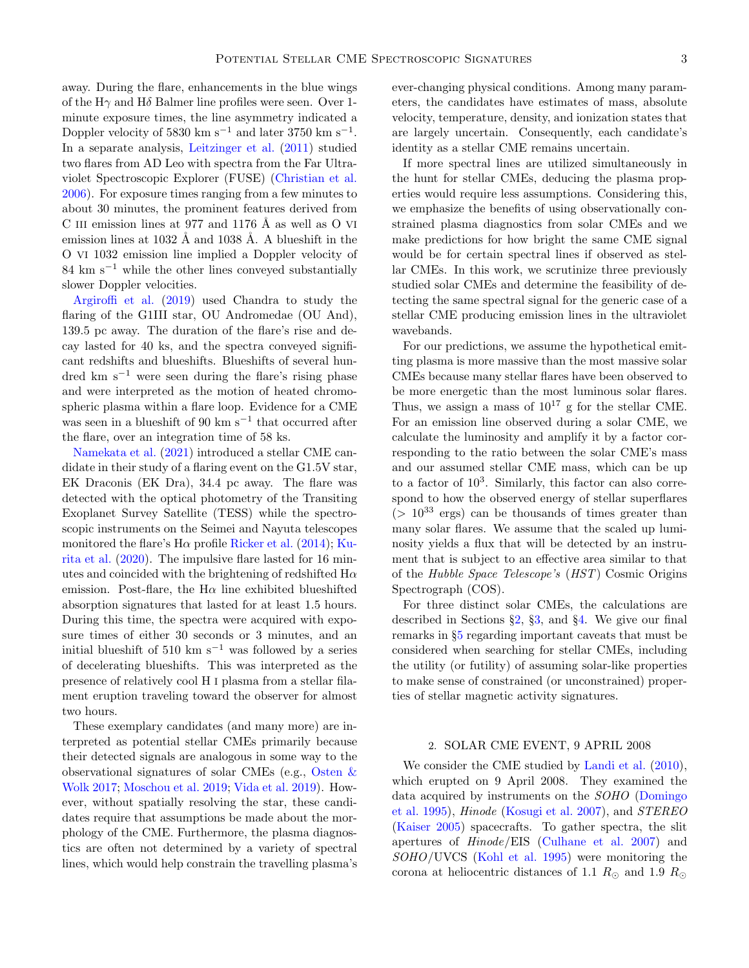away. During the flare, enhancements in the blue wings of the H $\gamma$  and H $\delta$  Balmer line profiles were seen. Over 1minute exposure times, the line asymmetry indicated a Doppler velocity of 5830 km s<sup>-1</sup> and later 3750 km s<sup>-1</sup>. In a separate analysis, [Leitzinger et al.](#page-10-18) [\(2011\)](#page-10-18) studied two flares from AD Leo with spectra from the Far Ultraviolet Spectroscopic Explorer (FUSE) [\(Christian et al.](#page-9-7) [2006\)](#page-9-7). For exposure times ranging from a few minutes to about 30 minutes, the prominent features derived from C III emission lines at 977 and 1176  $\AA$  as well as O VI emission lines at  $1032 \text{ Å}$  and  $1038 \text{ Å}$ . A blueshift in the O VI 1032 emission line implied a Doppler velocity of  $84 \text{ km s}^{-1}$  while the other lines conveyed substantially slower Doppler velocities.

[Argiroffi et al.](#page-9-6) [\(2019\)](#page-9-6) used Chandra to study the flaring of the G1III star, OU Andromedae (OU And), 139.5 pc away. The duration of the flare's rise and decay lasted for 40 ks, and the spectra conveyed significant redshifts and blueshifts. Blueshifts of several hundred km  $s^{-1}$  were seen during the flare's rising phase and were interpreted as the motion of heated chromospheric plasma within a flare loop. Evidence for a CME was seen in a blueshift of 90 km s<sup> $-1$ </sup> that occurred after the flare, over an integration time of 58 ks.

[Namekata et al.](#page-10-17) [\(2021\)](#page-10-17) introduced a stellar CME candidate in their study of a flaring event on the G1.5V star, EK Draconis (EK Dra), 34.4 pc away. The flare was detected with the optical photometry of the Transiting Exoplanet Survey Satellite (TESS) while the spectroscopic instruments on the Seimei and Nayuta telescopes monitored the flare's  $H\alpha$  profile [Ricker et al.](#page-11-4) [\(2014\)](#page-11-4); [Ku](#page-10-19)[rita et al.](#page-10-19) [\(2020\)](#page-10-19). The impulsive flare lasted for 16 minutes and coincided with the brightening of redshifted  $H\alpha$ emission. Post-flare, the H $\alpha$  line exhibited blueshifted absorption signatures that lasted for at least 1.5 hours. During this time, the spectra were acquired with exposure times of either 30 seconds or 3 minutes, and an initial blueshift of 510 km s<sup> $-1$ </sup> was followed by a series of decelerating blueshifts. This was interpreted as the presence of relatively cool H I plasma from a stellar filament eruption traveling toward the observer for almost two hours.

These exemplary candidates (and many more) are interpreted as potential stellar CMEs primarily because their detected signals are analogous in some way to the observational signatures of solar CMEs (e.g., [Osten &](#page-10-20) [Wolk](#page-10-20) [2017;](#page-10-20) [Moschou et al.](#page-10-21) [2019;](#page-10-21) [Vida et al.](#page-11-5) [2019\)](#page-11-5). However, without spatially resolving the star, these candidates require that assumptions be made about the morphology of the CME. Furthermore, the plasma diagnostics are often not determined by a variety of spectral lines, which would help constrain the travelling plasma's ever-changing physical conditions. Among many parameters, the candidates have estimates of mass, absolute velocity, temperature, density, and ionization states that are largely uncertain. Consequently, each candidate's identity as a stellar CME remains uncertain.

If more spectral lines are utilized simultaneously in the hunt for stellar CMEs, deducing the plasma properties would require less assumptions. Considering this, we emphasize the benefits of using observationally constrained plasma diagnostics from solar CMEs and we make predictions for how bright the same CME signal would be for certain spectral lines if observed as stellar CMEs. In this work, we scrutinize three previously studied solar CMEs and determine the feasibility of detecting the same spectral signal for the generic case of a stellar CME producing emission lines in the ultraviolet wavebands.

For our predictions, we assume the hypothetical emitting plasma is more massive than the most massive solar CMEs because many stellar flares have been observed to be more energetic than the most luminous solar flares. Thus, we assign a mass of  $10^{17}$  g for the stellar CME. For an emission line observed during a solar CME, we calculate the luminosity and amplify it by a factor corresponding to the ratio between the solar CME's mass and our assumed stellar CME mass, which can be up to a factor of  $10^3$ . Similarly, this factor can also correspond to how the observed energy of stellar superflares  $(> 10^{33} \text{ ergs})$  can be thousands of times greater than many solar flares. We assume that the scaled up luminosity yields a flux that will be detected by an instrument that is subject to an effective area similar to that of the Hubble Space Telescope's (HST) Cosmic Origins Spectrograph (COS).

For three distinct solar CMEs, the calculations are described in Sections  $\S2$ ,  $\S3$ , and  $\S4$ . We give our final remarks in §[5](#page-7-0) regarding important caveats that must be considered when searching for stellar CMEs, including the utility (or futility) of assuming solar-like properties to make sense of constrained (or unconstrained) properties of stellar magnetic activity signatures.

# 2. SOLAR CME EVENT, 9 APRIL 2008

<span id="page-2-0"></span>We consider the CME studied by [Landi et al.](#page-10-22) [\(2010\)](#page-10-22), which erupted on 9 April 2008. They examined the data acquired by instruments on the SOHO [\(Domingo](#page-9-8) [et al.](#page-9-8) [1995\)](#page-9-8), Hinode [\(Kosugi et al.](#page-10-23) [2007\)](#page-10-23), and STEREO [\(Kaiser](#page-10-24) [2005\)](#page-10-24) spacecrafts. To gather spectra, the slit apertures of Hinode/EIS [\(Culhane et al.](#page-9-9) [2007\)](#page-9-9) and SOHO/UVCS [\(Kohl et al.](#page-10-25) [1995\)](#page-10-25) were monitoring the corona at heliocentric distances of 1.1  $R_{\odot}$  and 1.9  $R_{\odot}$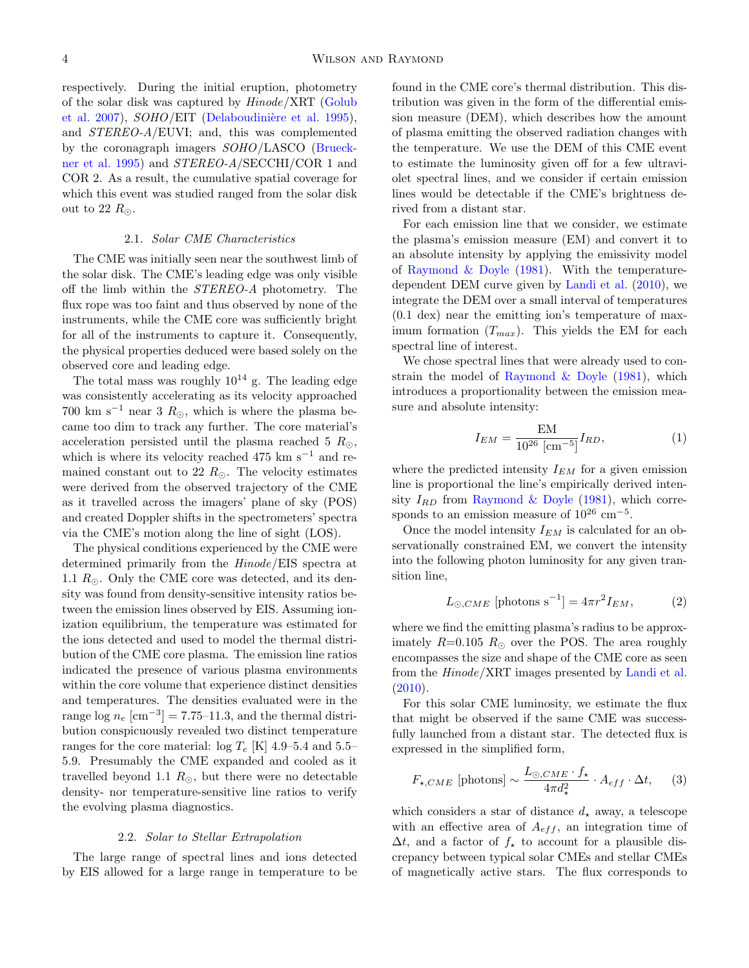respectively. During the initial eruption, photometry of the solar disk was captured by Hinode/XRT [\(Golub](#page-10-26) [et al.](#page-10-26) [2007\)](#page-10-26),  $SOHO/EIT$  (Delaboudinière et al. [1995\)](#page-9-10), and STEREO-A/EUVI; and, this was complemented by the coronagraph imagers SOHO/LASCO [\(Brueck](#page-9-11)[ner et al.](#page-9-11) [1995\)](#page-9-11) and STEREO-A/SECCHI/COR 1 and COR 2. As a result, the cumulative spatial coverage for which this event was studied ranged from the solar disk out to 22  $R_{\odot}$ .

# 2.1. Solar CME Characteristics

The CME was initially seen near the southwest limb of the solar disk. The CME's leading edge was only visible off the limb within the STEREO-A photometry. The flux rope was too faint and thus observed by none of the instruments, while the CME core was sufficiently bright for all of the instruments to capture it. Consequently, the physical properties deduced were based solely on the observed core and leading edge.

The total mass was roughly  $10^{14}$  g. The leading edge was consistently accelerating as its velocity approached 700 km s<sup>-1</sup> near 3  $R_{\odot}$ , which is where the plasma became too dim to track any further. The core material's acceleration persisted until the plasma reached 5  $R_{\odot}$ , which is where its velocity reached 475 km s<sup> $-1$ </sup> and remained constant out to 22  $R_{\odot}$ . The velocity estimates were derived from the observed trajectory of the CME as it travelled across the imagers' plane of sky (POS) and created Doppler shifts in the spectrometers' spectra via the CME's motion along the line of sight (LOS).

The physical conditions experienced by the CME were determined primarily from the Hinode/EIS spectra at 1.1  $R_{\odot}$ . Only the CME core was detected, and its density was found from density-sensitive intensity ratios between the emission lines observed by EIS. Assuming ionization equilibrium, the temperature was estimated for the ions detected and used to model the thermal distribution of the CME core plasma. The emission line ratios indicated the presence of various plasma environments within the core volume that experience distinct densities and temperatures. The densities evaluated were in the range log  $n_e$  [cm<sup>-3</sup>] = 7.75-11.3, and the thermal distribution conspicuously revealed two distinct temperature ranges for the core material:  $log T_e$  [K] 4.9–5.4 and 5.5– 5.9. Presumably the CME expanded and cooled as it travelled beyond 1.1  $R_{\odot}$ , but there were no detectable density- nor temperature-sensitive line ratios to verify the evolving plasma diagnostics.

#### 2.2. Solar to Stellar Extrapolation

<span id="page-3-1"></span>The large range of spectral lines and ions detected by EIS allowed for a large range in temperature to be found in the CME core's thermal distribution. This distribution was given in the form of the differential emission measure (DEM), which describes how the amount of plasma emitting the observed radiation changes with the temperature. We use the DEM of this CME event to estimate the luminosity given off for a few ultraviolet spectral lines, and we consider if certain emission lines would be detectable if the CME's brightness derived from a distant star.

For each emission line that we consider, we estimate the plasma's emission measure (EM) and convert it to an absolute intensity by applying the emissivity model of Raymond  $&$  Doyle [\(1981\)](#page-10-27). With the temperaturedependent DEM curve given by [Landi et al.](#page-10-22) [\(2010\)](#page-10-22), we integrate the DEM over a small interval of temperatures (0.1 dex) near the emitting ion's temperature of maximum formation  $(T_{max})$ . This yields the EM for each spectral line of interest.

We chose spectral lines that were already used to constrain the model of Raymond  $&$  Doyle [\(1981\)](#page-10-27), which introduces a proportionality between the emission measure and absolute intensity:

$$
I_{EM} = \frac{EM}{10^{26} \, [\text{cm}^{-5}]} I_{RD},\tag{1}
$$

where the predicted intensity  $I_{EM}$  for a given emission line is proportional the line's empirically derived intensity  $I_{RD}$  from [Raymond & Doyle](#page-10-27) [\(1981\)](#page-10-27), which corresponds to an emission measure of  $10^{26}$  cm<sup>-5</sup>.

Once the model intensity  $I_{EM}$  is calculated for an observationally constrained EM, we convert the intensity into the following photon luminosity for any given transition line,

$$
L_{\odot, CME} \left[ \text{photons s}^{-1} \right] = 4\pi r^2 I_{EM},\tag{2}
$$

where we find the emitting plasma's radius to be approximately  $R=0.105$   $R_{\odot}$  over the POS. The area roughly encompasses the size and shape of the CME core as seen from the Hinode/XRT images presented by [Landi et al.](#page-10-22)  $(2010).$  $(2010).$ 

For this solar CME luminosity, we estimate the flux that might be observed if the same CME was successfully launched from a distant star. The detected flux is expressed in the simplified form,

<span id="page-3-0"></span>
$$
F_{\star,CME} \text{ [photons]} \sim \frac{L_{\odot,CME} \cdot f_{\star}}{4\pi d_{\star}^2} \cdot A_{eff} \cdot \Delta t, \quad (3)
$$

which considers a star of distance  $d<sub>\star</sub>$  away, a telescope with an effective area of  $A_{eff}$ , an integration time of  $\Delta t$ , and a factor of  $f_{\star}$  to account for a plausible discrepancy between typical solar CMEs and stellar CMEs of magnetically active stars. The flux corresponds to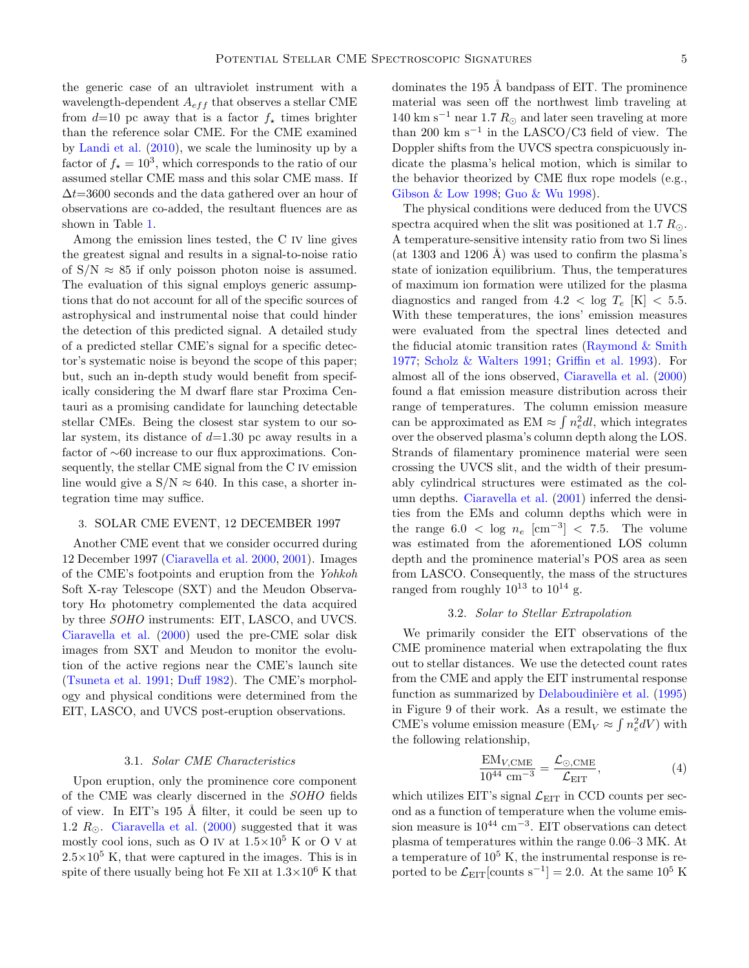the generic case of an ultraviolet instrument with a wavelength-dependent  $A_{eff}$  that observes a stellar CME from  $d=10$  pc away that is a factor  $f_{\star}$  times brighter than the reference solar CME. For the CME examined by [Landi et al.](#page-10-22) [\(2010\)](#page-10-22), we scale the luminosity up by a factor of  $f_{\star} = 10^3$ , which corresponds to the ratio of our assumed stellar CME mass and this solar CME mass. If  $\Delta t = 3600$  seconds and the data gathered over an hour of observations are co-added, the resultant fluences are as shown in Table [1.](#page-5-1)

Among the emission lines tested, the C IV line gives the greatest signal and results in a signal-to-noise ratio of  $S/N \approx 85$  if only poisson photon noise is assumed. The evaluation of this signal employs generic assumptions that do not account for all of the specific sources of astrophysical and instrumental noise that could hinder the detection of this predicted signal. A detailed study of a predicted stellar CME's signal for a specific detector's systematic noise is beyond the scope of this paper; but, such an in-depth study would benefit from specifically considering the M dwarf flare star Proxima Centauri as a promising candidate for launching detectable stellar CMEs. Being the closest star system to our solar system, its distance of  $d=1.30$  pc away results in a factor of ∼60 increase to our flux approximations. Consequently, the stellar CME signal from the C IV emission line would give a  $S/N \approx 640$ . In this case, a shorter integration time may suffice.

### <span id="page-4-0"></span>3. SOLAR CME EVENT, 12 DECEMBER 1997

Another CME event that we consider occurred during 12 December 1997 [\(Ciaravella et al.](#page-9-12) [2000,](#page-9-12) [2001\)](#page-9-13). Images of the CME's footpoints and eruption from the Yohkoh Soft X-ray Telescope (SXT) and the Meudon Observatory Hα photometry complemented the data acquired by three SOHO instruments: EIT, LASCO, and UVCS. [Ciaravella et al.](#page-9-12) [\(2000\)](#page-9-12) used the pre-CME solar disk images from SXT and Meudon to monitor the evolution of the active regions near the CME's launch site [\(Tsuneta et al.](#page-11-6) [1991;](#page-11-6) [Duff](#page-10-28) [1982\)](#page-10-28). The CME's morphology and physical conditions were determined from the EIT, LASCO, and UVCS post-eruption observations.

### 3.1. Solar CME Characteristics

Upon eruption, only the prominence core component of the CME was clearly discerned in the SOHO fields of view. In EIT's 195 Å filter, it could be seen up to 1.2  $R_{\odot}$ . [Ciaravella et al.](#page-9-12) [\(2000\)](#page-9-12) suggested that it was mostly cool ions, such as O IV at  $1.5\times10^5$  K or O V at  $2.5\times10^5$  K, that were captured in the images. This is in spite of there usually being hot Fe XII at  $1.3\times10^6$  K that

dominates the 195 Å bandpass of EIT. The prominence material was seen off the northwest limb traveling at 140 km s<sup>-1</sup> near 1.7  $R_{\odot}$  and later seen traveling at more than 200 km s<sup> $-1$ </sup> in the LASCO/C3 field of view. The Doppler shifts from the UVCS spectra conspicuously indicate the plasma's helical motion, which is similar to the behavior theorized by CME flux rope models (e.g., [Gibson & Low](#page-10-29) [1998;](#page-10-29) [Guo & Wu](#page-10-30) [1998\)](#page-10-30).

The physical conditions were deduced from the UVCS spectra acquired when the slit was positioned at 1.7  $R_{\odot}$ . A temperature-sensitive intensity ratio from two Si lines (at 1303 and 1206 Å) was used to confirm the plasma's state of ionization equilibrium. Thus, the temperatures of maximum ion formation were utilized for the plasma diagnostics and ranged from  $4.2 <$  log  $T_e$  [K]  $< 5.5$ . With these temperatures, the ions' emission measures were evaluated from the spectral lines detected and the fiducial atomic transition rates (Raymond  $\&$  Smith [1977;](#page-10-31) [Scholz & Walters](#page-11-7) [1991;](#page-11-7) [Griffin et al.](#page-10-32) [1993\)](#page-10-32). For almost all of the ions observed, [Ciaravella et al.](#page-9-12) [\(2000\)](#page-9-12) found a flat emission measure distribution across their range of temperatures. The column emission measure can be approximated as  $EM \approx \int n_e^2 dl$ , which integrates over the observed plasma's column depth along the LOS. Strands of filamentary prominence material were seen crossing the UVCS slit, and the width of their presumably cylindrical structures were estimated as the column depths. [Ciaravella et al.](#page-9-13) [\(2001\)](#page-9-13) inferred the densities from the EMs and column depths which were in the range 6.0 < log  $n_e$  [cm<sup>-3</sup>] < 7.5. The volume was estimated from the aforementioned LOS column depth and the prominence material's POS area as seen from LASCO. Consequently, the mass of the structures ranged from roughly  $10^{13}$  to  $10^{14}$  g.

#### 3.2. Solar to Stellar Extrapolation

We primarily consider the EIT observations of the CME prominence material when extrapolating the flux out to stellar distances. We use the detected count rates from the CME and apply the EIT instrumental response function as summarized by Delaboudinière et al. [\(1995\)](#page-9-10) in Figure 9 of their work. As a result, we estimate the CME's volume emission measure (EM<sub>V</sub>  $\approx \int n_e^2 dV$ ) with the following relationship,

<span id="page-4-1"></span>
$$
\frac{\text{EM}_{V,\text{CME}}}{10^{44} \text{ cm}^{-3}} = \frac{\mathcal{L}_{\odot,\text{CME}}}{\mathcal{L}_{\text{EIT}}},\tag{4}
$$

which utilizes EIT's signal  $\mathcal{L}_{\rm EIT}$  in CCD counts per second as a function of temperature when the volume emission measure is  $10^{44}$  cm<sup>-3</sup>. EIT observations can detect plasma of temperatures within the range 0.06–3 MK. At a temperature of  $10^5$  K, the instrumental response is reported to be  $\mathcal{L}_{\text{EIT}}[\text{counts } s^{-1}] = 2.0$ . At the same  $10^5$  K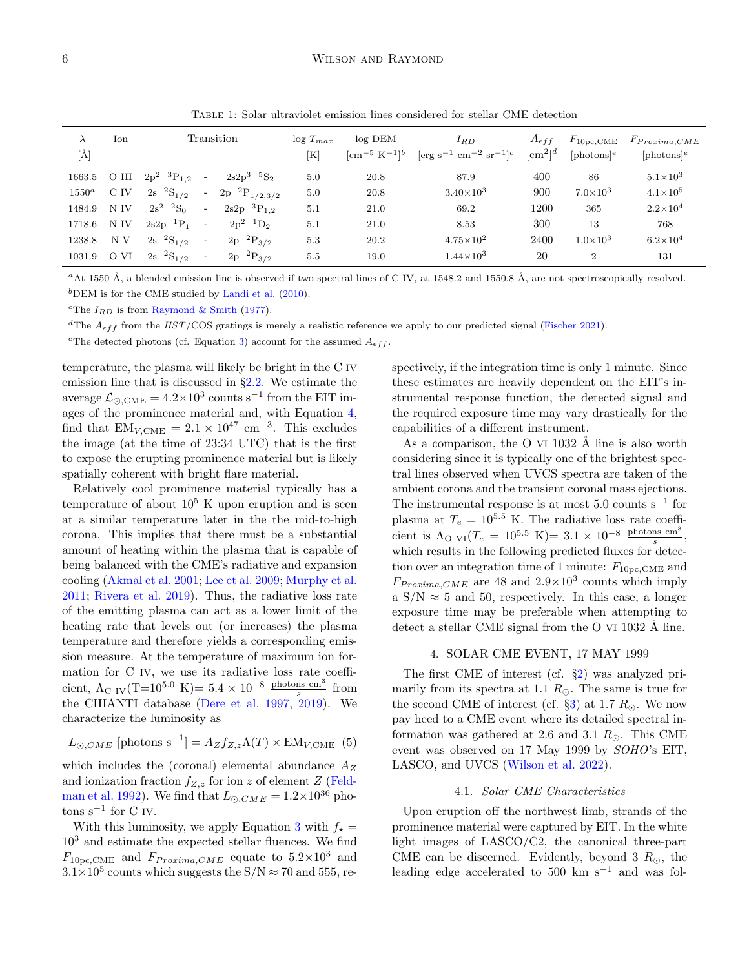### <span id="page-5-1"></span>6 WILSON AND RAYMOND

| $\lambda$<br>[Å] | Ion  | Transition                              |                       | $\log T_{max}$<br>[K] | $log$ DEM<br>$\rm [cm^{-5} K^{-1}]^{b}$ | $I_{RD}$<br>$[\text{erg s}^{-1} \text{ cm}^{-2} \text{ sr}^{-1}]^c$ | $A_{eff}$<br>$\lbrack \text{cm}^2 \rbrack^d$ | $F_{10,\text{pc},\text{CME}}$<br>$[photons]$ <sup>e</sup> | $F_{Proxima,CME}$<br>$[photons]$ <sup>e</sup> |
|------------------|------|-----------------------------------------|-----------------------|-----------------------|-----------------------------------------|---------------------------------------------------------------------|----------------------------------------------|-----------------------------------------------------------|-----------------------------------------------|
|                  |      | 1663.5 O III $2p^2$ ${}^3P_{1,2}$ -     | $2s2p^3$ ${}^5S_2$    | 5.0                   | 20.8                                    | 87.9                                                                | 400                                          | 86                                                        | $5.1\times10^3$                               |
| $1550^a$         | C IV | $2s \frac{2S}{1/2}$<br>$\sim$           | $2p~^{2}P_{1/2,3/2}$  | 5.0                   | 20.8                                    | $3.40\times10^{3}$                                                  | 900                                          | $7.0\times10^{3}$                                         | $4.1 \times 10^5$                             |
| 1484.9           | N IV | $2s^2$ ${}^2S_0$<br>$\sim$              | $2s2p$ ${}^{3}P_{12}$ | 5.1                   | 21.0                                    | 69.2                                                                | 1200                                         | 365                                                       | $2.2\times10^{4}$                             |
| 1718.6           | N IV | $2s2p$ <sup>1</sup> $P_1$<br>$\sim 100$ | $2p^2$ $1D_2$         | 5.1                   | 21.0                                    | 8.53                                                                | 300                                          | 13                                                        | 768                                           |
| 1238.8           | N V  | $2s \frac{2S}{1/2}$<br>$\sim$ $-$       | $2p~^2P_{3/2}$        | 5.3                   | 20.2                                    | $4.75\times10^{2}$                                                  | 2400                                         | $1.0\times10^{3}$                                         | $6.2\times10^{4}$                             |
| 1031.9 O VI      |      | $2s \t 2S_{1/2}$<br>$\sim$              | $2p~^2P_{3/2}$        | 5.5                   | 19.0                                    | $1.44 \times 10^3$                                                  | 20                                           | $\overline{2}$                                            | 131                                           |

Table 1: Solar ultraviolet emission lines considered for stellar CME detection

<sup>a</sup>At 1550 Å, a blended emission line is observed if two spectral lines of C IV, at 1548.2 and 1550.8 Å, are not spectroscopically resolved.  ${}^{b}$ DEM is for the CME studied by [Landi et al.](#page-10-22) [\(2010\)](#page-10-22).

<sup>c</sup>The  $I_{RD}$  is from [Raymond & Smith](#page-10-31) [\(1977\)](#page-10-31).

<sup>d</sup>The  $A_{eff}$  from the HST/COS gratings is merely a realistic reference we apply to our predicted signal [\(Fischer](#page-10-33) [2021\)](#page-10-33).

<sup>e</sup>The detected photons (cf. Equation [3\)](#page-3-0) account for the assumed  $A_{eff}$ .

temperature, the plasma will likely be bright in the C IV emission line that is discussed in §[2.2.](#page-3-1) We estimate the average  $\mathcal{L}_{\odot, \text{CME}} = 4.2 \times 10^3 \text{ counts s}^{-1}$  from the EIT images of the prominence material and, with Equation [4,](#page-4-1) find that  $EM_{V, CME} = 2.1 \times 10^{47}$  cm<sup>-3</sup>. This excludes the image (at the time of 23:34 UTC) that is the first to expose the erupting prominence material but is likely spatially coherent with bright flare material.

Relatively cool prominence material typically has a temperature of about  $10^5$  K upon eruption and is seen at a similar temperature later in the the mid-to-high corona. This implies that there must be a substantial amount of heating within the plasma that is capable of being balanced with the CME's radiative and expansion cooling [\(Akmal et al.](#page-9-14) [2001;](#page-9-14) [Lee et al.](#page-10-34) [2009;](#page-10-34) [Murphy et al.](#page-10-35) [2011;](#page-10-35) [Rivera et al.](#page-11-8) [2019\)](#page-11-8). Thus, the radiative loss rate of the emitting plasma can act as a lower limit of the heating rate that levels out (or increases) the plasma temperature and therefore yields a corresponding emission measure. At the temperature of maximum ion formation for C IV, we use its radiative loss rate coefficient,  $\Lambda_{\text{C IV}}(T=10^{5.0} \text{ K}) = 5.4 \times 10^{-8} \frac{\text{photons cm}^3}{s}$  from the CHIANTI database [\(Dere et al.](#page-9-15) [1997,](#page-9-15) [2019\)](#page-9-16). We characterize the luminosity as

$$
L_{\odot, CME} \text{ [photons s}^{-1}] = A_Z f_{Z,z} \Lambda(T) \times \text{EM}_{V, CME} \quad (5)
$$

which includes the (coronal) elemental abundance  $A_Z$ and ionization fraction  $f_{Z,z}$  for ion z of element Z [\(Feld](#page-10-36)[man et al.](#page-10-36) [1992\)](#page-10-36). We find that  $L_{\odot, CME} = 1.2 \times 10^{36}$  pho $t$ ons s<sup>−1</sup> for C IV.

With this luminosity, we apply Equation [3](#page-3-0) with  $f_{\star}$  =  $10<sup>3</sup>$  and estimate the expected stellar fluences. We find  $F_{10\text{pc},\text{CME}}$  and  $F_{Proxima,CME}$  equate to  $5.2\times10^3$  and  $3.1\times10^5$  counts which suggests the S/N  $\approx 70$  and 555, respectively, if the integration time is only 1 minute. Since these estimates are heavily dependent on the EIT's instrumental response function, the detected signal and the required exposure time may vary drastically for the capabilities of a different instrument.

As a comparison, the O VI 1032  $\AA$  line is also worth considering since it is typically one of the brightest spectral lines observed when UVCS spectra are taken of the ambient corona and the transient coronal mass ejections. The instrumental response is at most  $5.0 \text{ counts s}^{-1}$  for plasma at  $T_e = 10^{5.5}$  K. The radiative loss rate coefficient is  $\Lambda_{\text{O VI}}(T_e = 10^{5.5} \text{ K}) = 3.1 \times 10^{-8} \frac{\text{photons cm}^3}{s},$ which results in the following predicted fluxes for detection over an integration time of 1 minute:  $F_{10pc,CME}$  and  $F_{Proxima,CME}$  are 48 and  $2.9 \times 10^3$  counts which imply a  $S/N \approx 5$  and 50, respectively. In this case, a longer exposure time may be preferable when attempting to detect a stellar CME signal from the O VI  $1032 \text{ Å}$  line.

# 4. SOLAR CME EVENT, 17 MAY 1999

<span id="page-5-0"></span>The first CME of interest (cf. §[2\)](#page-2-0) was analyzed primarily from its spectra at 1.1  $R_{\odot}$ . The same is true for the second CME of interest (cf.  $\S3$ ) at 1.7  $R_{\odot}$ . We now pay heed to a CME event where its detailed spectral information was gathered at 2.6 and 3.1  $R_{\odot}$ . This CME event was observed on 17 May 1999 by SOHO's EIT, LASCO, and UVCS [\(Wilson et al.](#page-11-9) [2022\)](#page-11-9).

# 4.1. Solar CME Characteristics

Upon eruption off the northwest limb, strands of the prominence material were captured by EIT. In the white light images of LASCO/C2, the canonical three-part CME can be discerned. Evidently, beyond 3  $R_{\odot}$ , the leading edge accelerated to 500 km s<sup> $-1$ </sup> and was fol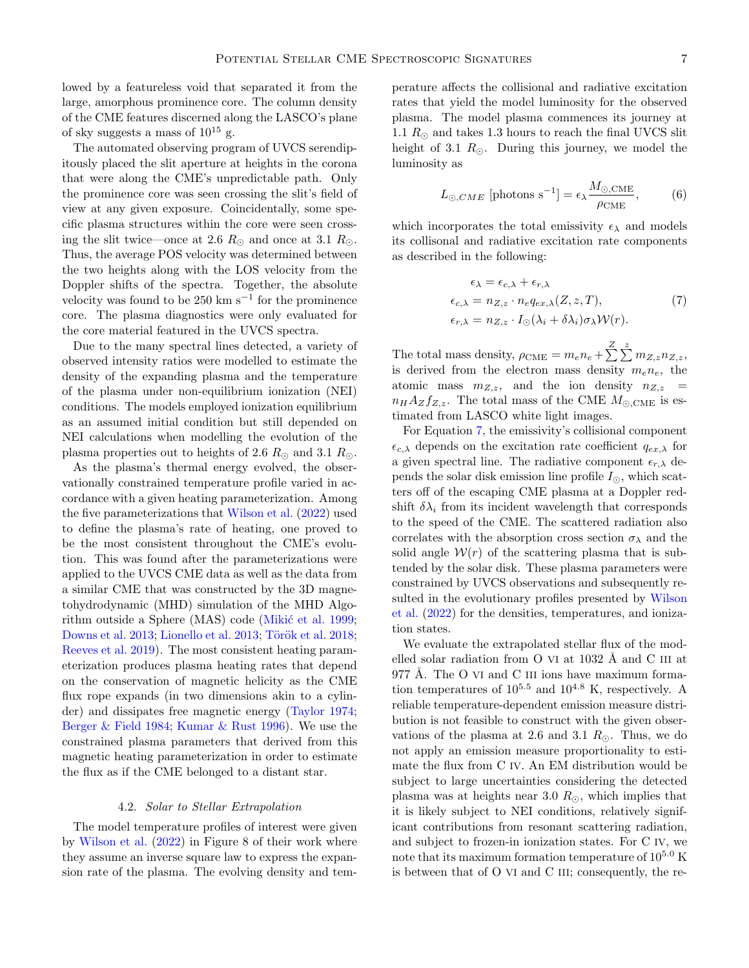lowed by a featureless void that separated it from the large, amorphous prominence core. The column density of the CME features discerned along the LASCO's plane of sky suggests a mass of  $10^{15}$  g.

The automated observing program of UVCS serendipitously placed the slit aperture at heights in the corona that were along the CME's unpredictable path. Only the prominence core was seen crossing the slit's field of view at any given exposure. Coincidentally, some specific plasma structures within the core were seen crossing the slit twice—once at 2.6  $R_{\odot}$  and once at 3.1  $R_{\odot}$ . Thus, the average POS velocity was determined between the two heights along with the LOS velocity from the Doppler shifts of the spectra. Together, the absolute velocity was found to be  $250 \text{ km s}^{-1}$  for the prominence core. The plasma diagnostics were only evaluated for the core material featured in the UVCS spectra.

Due to the many spectral lines detected, a variety of observed intensity ratios were modelled to estimate the density of the expanding plasma and the temperature of the plasma under non-equilibrium ionization (NEI) conditions. The models employed ionization equilibrium as an assumed initial condition but still depended on NEI calculations when modelling the evolution of the plasma properties out to heights of 2.6  $R_{\odot}$  and 3.1  $R_{\odot}$ .

As the plasma's thermal energy evolved, the observationally constrained temperature profile varied in accordance with a given heating parameterization. Among the five parameterizations that [Wilson et al.](#page-11-9) [\(2022\)](#page-11-9) used to define the plasma's rate of heating, one proved to be the most consistent throughout the CME's evolution. This was found after the parameterizations were applied to the UVCS CME data as well as the data from a similar CME that was constructed by the 3D magnetohydrodynamic (MHD) simulation of the MHD Algo-rithm outside a Sphere (MAS) code (Mikić et al. [1999;](#page-10-37) [Downs et al.](#page-9-17) [2013;](#page-10-38) [Lionello et al.](#page-10-38) 2013; Török et al. [2018;](#page-11-10) [Reeves et al.](#page-10-39) [2019\)](#page-10-39). The most consistent heating parameterization produces plasma heating rates that depend on the conservation of magnetic helicity as the CME flux rope expands (in two dimensions akin to a cylinder) and dissipates free magnetic energy [\(Taylor](#page-11-11) [1974;](#page-11-11) [Berger & Field](#page-9-18) [1984;](#page-9-18) [Kumar & Rust](#page-10-40) [1996\)](#page-10-40). We use the constrained plasma parameters that derived from this magnetic heating parameterization in order to estimate the flux as if the CME belonged to a distant star.

# 4.2. Solar to Stellar Extrapolation

The model temperature profiles of interest were given by [Wilson et al.](#page-11-9) [\(2022\)](#page-11-9) in Figure 8 of their work where they assume an inverse square law to express the expansion rate of the plasma. The evolving density and temperature affects the collisional and radiative excitation rates that yield the model luminosity for the observed plasma. The model plasma commences its journey at 1.1  $R_{\odot}$  and takes 1.3 hours to reach the final UVCS slit height of 3.1  $R_{\odot}$ . During this journey, we model the luminosity as

$$
L_{\odot, CME} \text{ [photons s}^{-1}] = \epsilon_{\lambda} \frac{M_{\odot, CME}}{\rho_{CME}}, \tag{6}
$$

which incorporates the total emissivity  $\epsilon_{\lambda}$  and models its collisonal and radiative excitation rate components as described in the following:

<span id="page-6-0"></span>
$$
\epsilon_{\lambda} = \epsilon_{c,\lambda} + \epsilon_{r,\lambda}
$$
  
\n
$$
\epsilon_{c,\lambda} = n_{Z,z} \cdot n_e q_{ex,\lambda}(Z, z, T),
$$
  
\n
$$
\epsilon_{r,\lambda} = n_{Z,z} \cdot I_{\odot}(\lambda_i + \delta \lambda_i) \sigma_{\lambda} \mathcal{W}(r).
$$
\n(7)

The total mass density,  $\rho_{\text{CME}} = m_e n_e + \sum_{\alpha=1}^{Z} \sum_{\alpha=1}^{z} m_{Z,z} n_{Z,z}$ is derived from the electron mass density  $m_e n_e$ , the atomic mass  $m_{Z,z}$ , and the ion density  $n_{Z,z}$  =  $n_H A_Z f_{Z,z}$ . The total mass of the CME  $M_{\odot, CME}$  is estimated from LASCO white light images.

For Equation [7,](#page-6-0) the emissivity's collisional component  $\epsilon_{c,\lambda}$  depends on the excitation rate coefficient  $q_{ex,\lambda}$  for a given spectral line. The radiative component  $\epsilon_{r,\lambda}$  depends the solar disk emission line profile  $I_{\odot}$ , which scatters off of the escaping CME plasma at a Doppler redshift  $\delta \lambda_i$  from its incident wavelength that corresponds to the speed of the CME. The scattered radiation also correlates with the absorption cross section  $\sigma_{\lambda}$  and the solid angle  $W(r)$  of the scattering plasma that is subtended by the solar disk. These plasma parameters were constrained by UVCS observations and subsequently resulted in the evolutionary profiles presented by [Wilson](#page-11-9) [et al.](#page-11-9) [\(2022\)](#page-11-9) for the densities, temperatures, and ionization states.

We evaluate the extrapolated stellar flux of the modelled solar radiation from O VI at  $1032 \text{ Å}$  and C III at 977 Å. The O VI and C III ions have maximum formation temperatures of  $10^{5.5}$  and  $10^{4.8}$  K, respectively. A reliable temperature-dependent emission measure distribution is not feasible to construct with the given observations of the plasma at 2.6 and 3.1  $R_{\odot}$ . Thus, we do not apply an emission measure proportionality to estimate the flux from C IV. An EM distribution would be subject to large uncertainties considering the detected plasma was at heights near 3.0  $R_{\odot}$ , which implies that it is likely subject to NEI conditions, relatively significant contributions from resonant scattering radiation, and subject to frozen-in ionization states. For C IV, we note that its maximum formation temperature of  $10^{5.0}$  K is between that of O VI and C III; consequently, the re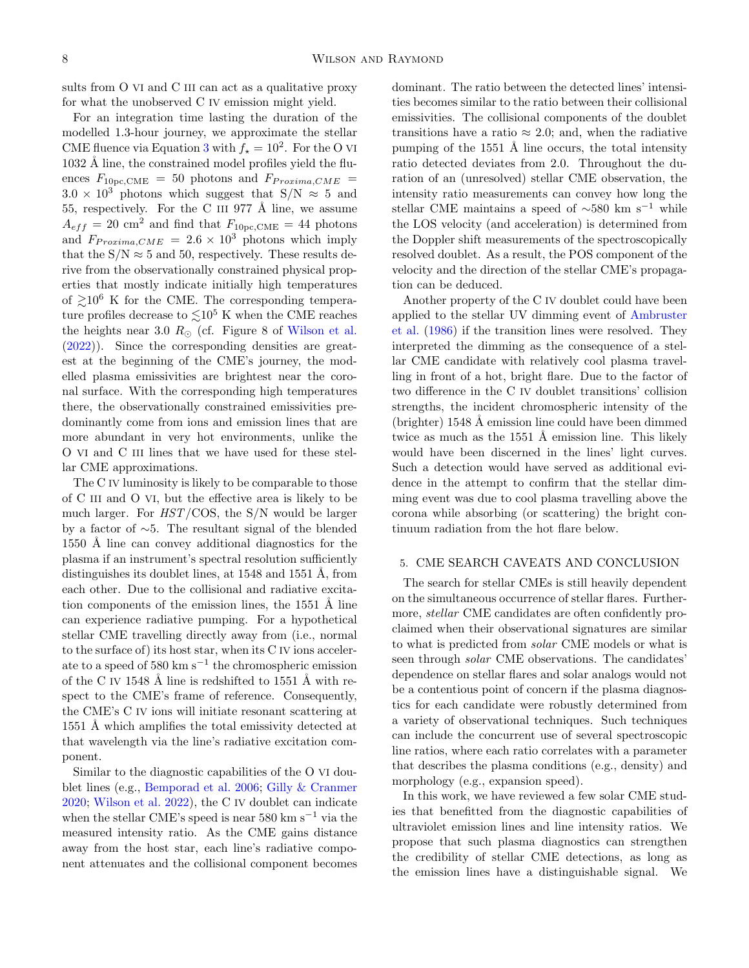sults from O VI and C III can act as a qualitative proxy for what the unobserved C IV emission might yield.

For an integration time lasting the duration of the modelled 1.3-hour journey, we approximate the stellar CME fluence via Equation [3](#page-3-0) with  $f_{\star} = 10^2$ . For the O VI  $1032 \text{ Å}$  line, the constrained model profiles yield the fluences  $F_{10pc,CME}$  = 50 photons and  $F_{Proxima,CME}$  =  $3.0 \times 10^3$  photons which suggest that S/N  $\approx$  5 and 55, respectively. For the C III 977 Å line, we assume  $A_{eff} = 20$  cm<sup>2</sup> and find that  $F_{10\text{pc,CME}} = 44$  photons and  $F_{Proxima,CME} = 2.6 \times 10^3$  photons which imply that the  $S/N \approx 5$  and 50, respectively. These results derive from the observationally constrained physical properties that mostly indicate initially high temperatures of  $\geq 10^6$  K for the CME. The corresponding temperature profiles decrease to  $\leq 10^5$  K when the CME reaches the heights near 3.0  $R_{\odot}$  (cf. Figure 8 of [Wilson et al.](#page-11-9) [\(2022\)](#page-11-9)). Since the corresponding densities are greatest at the beginning of the CME's journey, the modelled plasma emissivities are brightest near the coronal surface. With the corresponding high temperatures there, the observationally constrained emissivities predominantly come from ions and emission lines that are more abundant in very hot environments, unlike the O VI and C III lines that we have used for these stellar CME approximations.

The C IV luminosity is likely to be comparable to those of C III and O VI, but the effective area is likely to be much larger. For HST/COS, the S/N would be larger by a factor of ∼5. The resultant signal of the blended 1550 Å line can convey additional diagnostics for the plasma if an instrument's spectral resolution sufficiently distinguishes its doublet lines, at  $1548$  and  $1551$  Å, from each other. Due to the collisional and radiative excitation components of the emission lines, the  $1551$  Å line can experience radiative pumping. For a hypothetical stellar CME travelling directly away from (i.e., normal to the surface of) its host star, when its C IV ions accelerate to a speed of  $580 \text{ km s}^{-1}$  the chromospheric emission of the C IV 1548 Å line is redshifted to 1551 Å with respect to the CME's frame of reference. Consequently, the CME's C IV ions will initiate resonant scattering at 1551 Å which amplifies the total emissivity detected at that wavelength via the line's radiative excitation component.

Similar to the diagnostic capabilities of the O VI doublet lines (e.g., [Bemporad et al.](#page-9-19) [2006;](#page-9-19) [Gilly & Cranmer](#page-10-41) [2020;](#page-10-41) [Wilson et al.](#page-11-9) [2022\)](#page-11-9), the C IV doublet can indicate when the stellar CME's speed is near 580 km s<sup> $-1$ </sup> via the measured intensity ratio. As the CME gains distance away from the host star, each line's radiative component attenuates and the collisional component becomes

dominant. The ratio between the detected lines' intensities becomes similar to the ratio between their collisional emissivities. The collisional components of the doublet transitions have a ratio  $\approx 2.0$ ; and, when the radiative pumping of the  $1551 \text{ Å}$  line occurs, the total intensity ratio detected deviates from 2.0. Throughout the duration of an (unresolved) stellar CME observation, the intensity ratio measurements can convey how long the stellar CME maintains a speed of  $~\sim 580$  km s<sup>-1</sup> while the LOS velocity (and acceleration) is determined from the Doppler shift measurements of the spectroscopically resolved doublet. As a result, the POS component of the velocity and the direction of the stellar CME's propagation can be deduced.

Another property of the C IV doublet could have been applied to the stellar UV dimming event of [Ambruster](#page-9-5) [et al.](#page-9-5) [\(1986\)](#page-9-5) if the transition lines were resolved. They interpreted the dimming as the consequence of a stellar CME candidate with relatively cool plasma travelling in front of a hot, bright flare. Due to the factor of two difference in the C IV doublet transitions' collision strengths, the incident chromospheric intensity of the  $(brighter)$  1548 Å emission line could have been dimmed twice as much as the  $1551 \text{ Å}$  emission line. This likely would have been discerned in the lines' light curves. Such a detection would have served as additional evidence in the attempt to confirm that the stellar dimming event was due to cool plasma travelling above the corona while absorbing (or scattering) the bright continuum radiation from the hot flare below.

# <span id="page-7-0"></span>5. CME SEARCH CAVEATS AND CONCLUSION

The search for stellar CMEs is still heavily dependent on the simultaneous occurrence of stellar flares. Furthermore, *stellar* CME candidates are often confidently proclaimed when their observational signatures are similar to what is predicted from solar CME models or what is seen through solar CME observations. The candidates' dependence on stellar flares and solar analogs would not be a contentious point of concern if the plasma diagnostics for each candidate were robustly determined from a variety of observational techniques. Such techniques can include the concurrent use of several spectroscopic line ratios, where each ratio correlates with a parameter that describes the plasma conditions (e.g., density) and morphology (e.g., expansion speed).

In this work, we have reviewed a few solar CME studies that benefitted from the diagnostic capabilities of ultraviolet emission lines and line intensity ratios. We propose that such plasma diagnostics can strengthen the credibility of stellar CME detections, as long as the emission lines have a distinguishable signal. We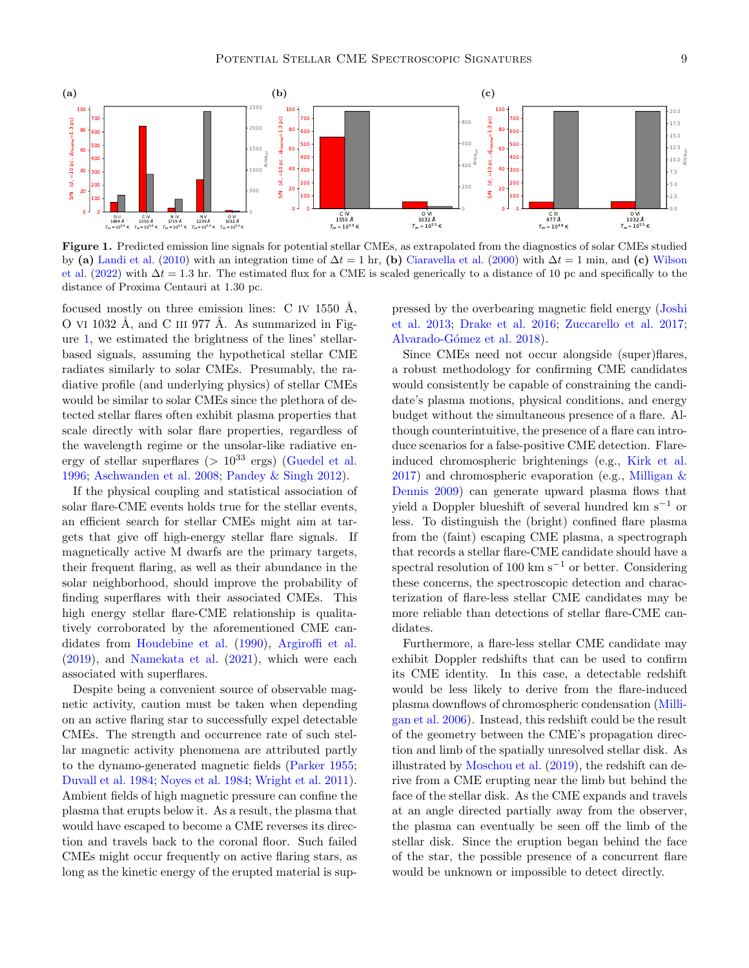<span id="page-8-0"></span>

Figure 1. Predicted emission line signals for potential stellar CMEs, as extrapolated from the diagnostics of solar CMEs studied by (a) [Landi et al.](#page-10-22) [\(2010\)](#page-10-22) with an integration time of  $\Delta t = 1$  hr, (b) [Ciaravella et al.](#page-9-12) [\(2000\)](#page-9-12) with  $\Delta t = 1$  min, and (c) [Wilson](#page-11-9) [et al.](#page-11-9) [\(2022\)](#page-11-9) with  $\Delta t = 1.3$  hr. The estimated flux for a CME is scaled generically to a distance of 10 pc and specifically to the distance of Proxima Centauri at 1.30 pc.

focused mostly on three emission lines: C IV 1550 Å, O VI 1032 Å, and C III 977 Å. As summarized in Figure [1,](#page-8-0) we estimated the brightness of the lines' stellarbased signals, assuming the hypothetical stellar CME radiates similarly to solar CMEs. Presumably, the radiative profile (and underlying physics) of stellar CMEs would be similar to solar CMEs since the plethora of detected stellar flares often exhibit plasma properties that scale directly with solar flare properties, regardless of the wavelength regime or the unsolar-like radiative energy of stellar superflares ( $> 10^{33}$  ergs) [\(Guedel et al.](#page-10-10) [1996;](#page-10-10) [Aschwanden et al.](#page-9-20) [2008;](#page-9-20) [Pandey & Singh](#page-10-42) [2012\)](#page-10-42).

If the physical coupling and statistical association of solar flare-CME events holds true for the stellar events, an efficient search for stellar CMEs might aim at targets that give off high-energy stellar flare signals. If magnetically active M dwarfs are the primary targets, their frequent flaring, as well as their abundance in the solar neighborhood, should improve the probability of finding superflares with their associated CMEs. This high energy stellar flare-CME relationship is qualitatively corroborated by the aforementioned CME candidates from [Houdebine et al.](#page-10-16) [\(1990\)](#page-10-16), [Argiroffi et al.](#page-9-6) [\(2019\)](#page-9-6), and [Namekata et al.](#page-10-17) [\(2021\)](#page-10-17), which were each associated with superflares.

Despite being a convenient source of observable magnetic activity, caution must be taken when depending on an active flaring star to successfully expel detectable CMEs. The strength and occurrence rate of such stellar magnetic activity phenomena are attributed partly to the dynamo-generated magnetic fields [\(Parker](#page-10-43) [1955;](#page-10-43) [Duvall et al.](#page-10-44) [1984;](#page-10-44) [Noyes et al.](#page-10-45) [1984;](#page-10-45) [Wright et al.](#page-11-12) [2011\)](#page-11-12). Ambient fields of high magnetic pressure can confine the plasma that erupts below it. As a result, the plasma that would have escaped to become a CME reverses its direction and travels back to the coronal floor. Such failed CMEs might occur frequently on active flaring stars, as long as the kinetic energy of the erupted material is suppressed by the overbearing magnetic field energy [\(Joshi](#page-10-46) [et al.](#page-10-46) [2013;](#page-10-46) [Drake et al.](#page-10-47) [2016;](#page-10-47) [Zuccarello et al.](#page-11-13) [2017;](#page-11-13) Alvarado-Gómez et al. [2018\)](#page-9-21).

Since CMEs need not occur alongside (super)flares, a robust methodology for confirming CME candidates would consistently be capable of constraining the candidate's plasma motions, physical conditions, and energy budget without the simultaneous presence of a flare. Although counterintuitive, the presence of a flare can introduce scenarios for a false-positive CME detection. Flareinduced chromospheric brightenings (e.g., [Kirk et al.](#page-10-48)  $2017$ ) and chromospheric evaporation (e.g., [Milligan &](#page-10-49) [Dennis](#page-10-49) [2009\)](#page-10-49) can generate upward plasma flows that yield a Doppler blueshift of several hundred km s<sup>−1</sup> or less. To distinguish the (bright) confined flare plasma from the (faint) escaping CME plasma, a spectrograph that records a stellar flare-CME candidate should have a spectral resolution of 100 km s<sup> $-1$ </sup> or better. Considering these concerns, the spectroscopic detection and characterization of flare-less stellar CME candidates may be more reliable than detections of stellar flare-CME candidates.

Furthermore, a flare-less stellar CME candidate may exhibit Doppler redshifts that can be used to confirm its CME identity. In this case, a detectable redshift would be less likely to derive from the flare-induced plasma downflows of chromospheric condensation [\(Milli](#page-10-50)[gan et al.](#page-10-50) [2006\)](#page-10-50). Instead, this redshift could be the result of the geometry between the CME's propagation direction and limb of the spatially unresolved stellar disk. As illustrated by [Moschou et al.](#page-10-21) [\(2019\)](#page-10-21), the redshift can derive from a CME erupting near the limb but behind the face of the stellar disk. As the CME expands and travels at an angle directed partially away from the observer, the plasma can eventually be seen off the limb of the stellar disk. Since the eruption began behind the face of the star, the possible presence of a concurrent flare would be unknown or impossible to detect directly.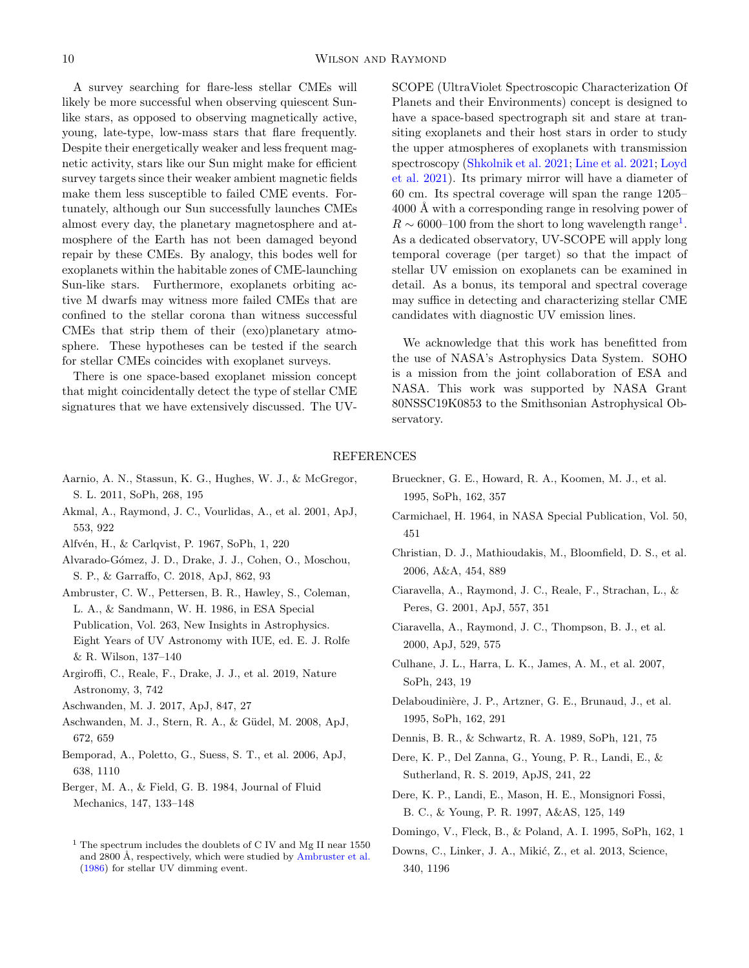A survey searching for flare-less stellar CMEs will likely be more successful when observing quiescent Sunlike stars, as opposed to observing magnetically active, young, late-type, low-mass stars that flare frequently. Despite their energetically weaker and less frequent magnetic activity, stars like our Sun might make for efficient survey targets since their weaker ambient magnetic fields make them less susceptible to failed CME events. Fortunately, although our Sun successfully launches CMEs almost every day, the planetary magnetosphere and atmosphere of the Earth has not been damaged beyond repair by these CMEs. By analogy, this bodes well for exoplanets within the habitable zones of CME-launching Sun-like stars. Furthermore, exoplanets orbiting active M dwarfs may witness more failed CMEs that are confined to the stellar corona than witness successful CMEs that strip them of their (exo)planetary atmosphere. These hypotheses can be tested if the search for stellar CMEs coincides with exoplanet surveys.

There is one space-based exoplanet mission concept that might coincidentally detect the type of stellar CME signatures that we have extensively discussed. The UV-

SCOPE (UltraViolet Spectroscopic Characterization Of Planets and their Environments) concept is designed to have a space-based spectrograph sit and stare at transiting exoplanets and their host stars in order to study the upper atmospheres of exoplanets with transmission spectroscopy [\(Shkolnik et al.](#page-11-14) [2021;](#page-11-14) [Line et al.](#page-10-51) [2021;](#page-10-51) [Loyd](#page-10-52) [et al.](#page-10-52) [2021\)](#page-10-52). Its primary mirror will have a diameter of 60 cm. Its spectral coverage will span the range 1205– 4000 Å with a corresponding range in resolving power of  $R \sim 6000$ –[1](#page-9-22)00 from the short to long wavelength range<sup>1</sup>. As a dedicated observatory, UV-SCOPE will apply long temporal coverage (per target) so that the impact of stellar UV emission on exoplanets can be examined in detail. As a bonus, its temporal and spectral coverage may suffice in detecting and characterizing stellar CME candidates with diagnostic UV emission lines.

We acknowledge that this work has benefitted from the use of NASA's Astrophysics Data System. SOHO is a mission from the joint collaboration of ESA and NASA. This work was supported by NASA Grant 80NSSC19K0853 to the Smithsonian Astrophysical Observatory.

### REFERENCES

- <span id="page-9-3"></span>Aarnio, A. N., Stassun, K. G., Hughes, W. J., & McGregor, S. L. 2011, SoPh, 268, 195
- <span id="page-9-14"></span>Akmal, A., Raymond, J. C., Vourlidas, A., et al. 2001, ApJ, 553, 922
- <span id="page-9-1"></span>Alfvén, H., & Carlqvist, P. 1967, SoPh, 1, 220
- <span id="page-9-21"></span>Alvarado-G´omez, J. D., Drake, J. J., Cohen, O., Moschou, S. P., & Garraffo, C. 2018, ApJ, 862, 93
- <span id="page-9-5"></span>Ambruster, C. W., Pettersen, B. R., Hawley, S., Coleman, L. A., & Sandmann, W. H. 1986, in ESA Special Publication, Vol. 263, New Insights in Astrophysics. Eight Years of UV Astronomy with IUE, ed. E. J. Rolfe & R. Wilson, 137–140
- <span id="page-9-6"></span>Argiroffi, C., Reale, F., Drake, J. J., et al. 2019, Nature Astronomy, 3, 742
- <span id="page-9-4"></span>Aschwanden, M. J. 2017, ApJ, 847, 27
- <span id="page-9-20"></span>Aschwanden, M. J., Stern, R. A., & Güdel, M. 2008, ApJ, 672, 659
- <span id="page-9-19"></span>Bemporad, A., Poletto, G., Suess, S. T., et al. 2006, ApJ, 638, 1110
- <span id="page-9-18"></span>Berger, M. A., & Field, G. B. 1984, Journal of Fluid Mechanics, 147, 133–148
- <span id="page-9-11"></span>Brueckner, G. E., Howard, R. A., Koomen, M. J., et al. 1995, SoPh, 162, 357
- <span id="page-9-0"></span>Carmichael, H. 1964, in NASA Special Publication, Vol. 50, 451
- <span id="page-9-7"></span>Christian, D. J., Mathioudakis, M., Bloomfield, D. S., et al. 2006, A&A, 454, 889
- <span id="page-9-13"></span>Ciaravella, A., Raymond, J. C., Reale, F., Strachan, L., & Peres, G. 2001, ApJ, 557, 351
- <span id="page-9-12"></span>Ciaravella, A., Raymond, J. C., Thompson, B. J., et al. 2000, ApJ, 529, 575
- <span id="page-9-9"></span>Culhane, J. L., Harra, L. K., James, A. M., et al. 2007, SoPh, 243, 19
- <span id="page-9-10"></span>Delaboudinière, J. P., Artzner, G. E., Brunaud, J., et al. 1995, SoPh, 162, 291
- <span id="page-9-2"></span>Dennis, B. R., & Schwartz, R. A. 1989, SoPh, 121, 75
- <span id="page-9-16"></span>Dere, K. P., Del Zanna, G., Young, P. R., Landi, E., & Sutherland, R. S. 2019, ApJS, 241, 22
- <span id="page-9-15"></span>Dere, K. P., Landi, E., Mason, H. E., Monsignori Fossi, B. C., & Young, P. R. 1997, A&AS, 125, 149
- <span id="page-9-8"></span>Domingo, V., Fleck, B., & Poland, A. I. 1995, SoPh, 162, 1
- <span id="page-9-17"></span>Downs, C., Linker, J. A., Mikić, Z., et al. 2013, Science, 340, 1196

<span id="page-9-22"></span><sup>&</sup>lt;sup>1</sup> The spectrum includes the doublets of C IV and Mg II near  $1550$ and  $2800 \text{ Å}$ , respectively, which were studied by [Ambruster et al.](#page-9-5) [\(1986\)](#page-9-5) for stellar UV dimming event.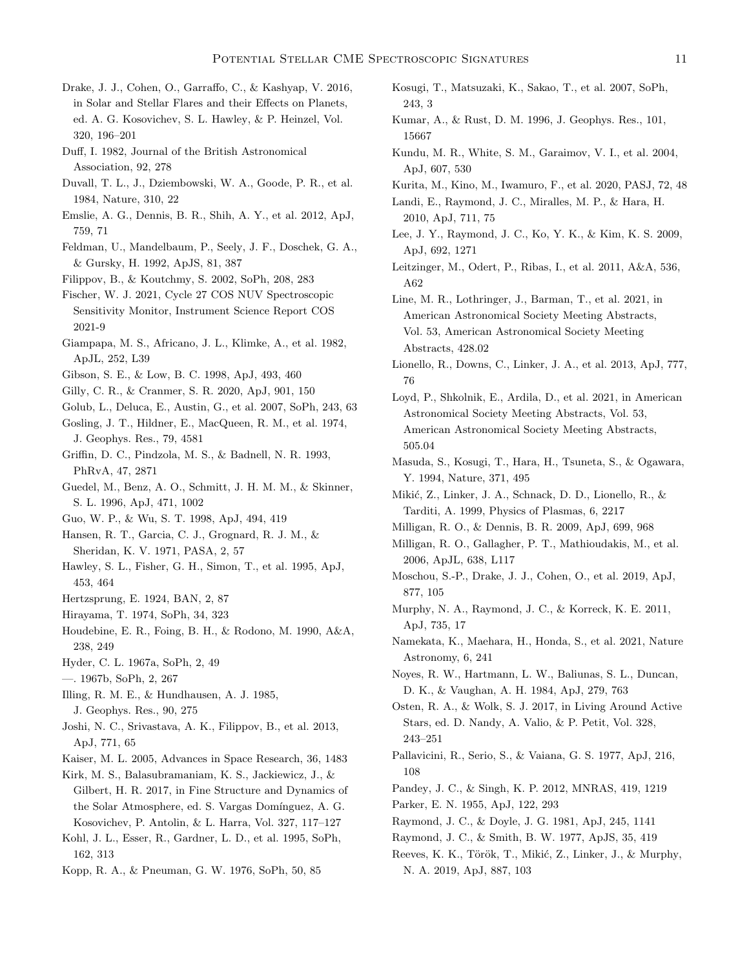- <span id="page-10-47"></span>Drake, J. J., Cohen, O., Garraffo, C., & Kashyap, V. 2016, in Solar and Stellar Flares and their Effects on Planets, ed. A. G. Kosovichev, S. L. Hawley, & P. Heinzel, Vol. 320, 196–201
- <span id="page-10-28"></span>Duff, I. 1982, Journal of the British Astronomical Association, 92, 278
- <span id="page-10-44"></span>Duvall, T. L., J., Dziembowski, W. A., Goode, P. R., et al. 1984, Nature, 310, 22
- <span id="page-10-7"></span>Emslie, A. G., Dennis, B. R., Shih, A. Y., et al. 2012, ApJ, 759, 71
- <span id="page-10-36"></span>Feldman, U., Mandelbaum, P., Seely, J. F., Doschek, G. A., & Gursky, H. 1992, ApJS, 81, 387
- <span id="page-10-14"></span>Filippov, B., & Koutchmy, S. 2002, SoPh, 208, 283

<span id="page-10-33"></span>Fischer, W. J. 2021, Cycle 27 COS NUV Spectroscopic Sensitivity Monitor, Instrument Science Report COS 2021-9

- <span id="page-10-11"></span>Giampapa, M. S., Africano, J. L., Klimke, A., et al. 1982, ApJL, 252, L39
- <span id="page-10-29"></span>Gibson, S. E., & Low, B. C. 1998, ApJ, 493, 460
- <span id="page-10-41"></span>Gilly, C. R., & Cranmer, S. R. 2020, ApJ, 901, 150
- <span id="page-10-26"></span>Golub, L., Deluca, E., Austin, G., et al. 2007, SoPh, 243, 63
- <span id="page-10-1"></span>Gosling, J. T., Hildner, E., MacQueen, R. M., et al. 1974, J. Geophys. Res., 79, 4581
- <span id="page-10-32"></span>Griffin, D. C., Pindzola, M. S., & Badnell, N. R. 1993, PhRvA, 47, 2871
- <span id="page-10-10"></span>Guedel, M., Benz, A. O., Schmitt, J. H. M. M., & Skinner, S. L. 1996, ApJ, 471, 1002
- <span id="page-10-30"></span>Guo, W. P., & Wu, S. T. 1998, ApJ, 494, 419
- <span id="page-10-0"></span>Hansen, R. T., Garcia, C. J., Grognard, R. J. M., & Sheridan, K. V. 1971, PASA, 2, 57
- <span id="page-10-9"></span>Hawley, S. L., Fisher, G. H., Simon, T., et al. 1995, ApJ, 453, 464
- <span id="page-10-8"></span><span id="page-10-3"></span>Hertzsprung, E. 1924, BAN, 2, 87
- Hirayama, T. 1974, SoPh, 34, 323
- <span id="page-10-16"></span>Houdebine, E. R., Foing, B. H., & Rodono, M. 1990, A&A, 238, 249
- <span id="page-10-12"></span>Hyder, C. L. 1967a, SoPh, 2, 49
- <span id="page-10-13"></span>—. 1967b, SoPh, 2, 267
- <span id="page-10-2"></span>Illing, R. M. E., & Hundhausen, A. J. 1985,
	- J. Geophys. Res., 90, 275
- <span id="page-10-46"></span>Joshi, N. C., Srivastava, A. K., Filippov, B., et al. 2013, ApJ, 771, 65
- <span id="page-10-24"></span>Kaiser, M. L. 2005, Advances in Space Research, 36, 1483
- <span id="page-10-48"></span>Kirk, M. S., Balasubramaniam, K. S., Jackiewicz, J., & Gilbert, H. R. 2017, in Fine Structure and Dynamics of the Solar Atmosphere, ed. S. Vargas Domínguez, A. G. Kosovichev, P. Antolin, & L. Harra, Vol. 327, 117–127
- <span id="page-10-25"></span>Kohl, J. L., Esser, R., Gardner, L. D., et al. 1995, SoPh, 162, 313
- <span id="page-10-4"></span>Kopp, R. A., & Pneuman, G. W. 1976, SoPh, 50, 85
- <span id="page-10-23"></span>Kosugi, T., Matsuzaki, K., Sakao, T., et al. 2007, SoPh, 243, 3
- <span id="page-10-40"></span>Kumar, A., & Rust, D. M. 1996, J. Geophys. Res., 101, 15667
- <span id="page-10-15"></span>Kundu, M. R., White, S. M., Garaimov, V. I., et al. 2004, ApJ, 607, 530
- <span id="page-10-19"></span>Kurita, M., Kino, M., Iwamuro, F., et al. 2020, PASJ, 72, 48
- <span id="page-10-22"></span>Landi, E., Raymond, J. C., Miralles, M. P., & Hara, H. 2010, ApJ, 711, 75
- <span id="page-10-34"></span>Lee, J. Y., Raymond, J. C., Ko, Y. K., & Kim, K. S. 2009, ApJ, 692, 1271
- <span id="page-10-18"></span>Leitzinger, M., Odert, P., Ribas, I., et al. 2011, A&A, 536, A62

<span id="page-10-51"></span>Line, M. R., Lothringer, J., Barman, T., et al. 2021, in American Astronomical Society Meeting Abstracts, Vol. 53, American Astronomical Society Meeting Abstracts, 428.02

- <span id="page-10-38"></span>Lionello, R., Downs, C., Linker, J. A., et al. 2013, ApJ, 777, 76
- <span id="page-10-52"></span>Loyd, P., Shkolnik, E., Ardila, D., et al. 2021, in American Astronomical Society Meeting Abstracts, Vol. 53, American Astronomical Society Meeting Abstracts, 505.04
- <span id="page-10-6"></span>Masuda, S., Kosugi, T., Hara, H., Tsuneta, S., & Ogawara, Y. 1994, Nature, 371, 495
- <span id="page-10-37"></span>Mikić, Z., Linker, J. A., Schnack, D. D., Lionello, R., & Tarditi, A. 1999, Physics of Plasmas, 6, 2217
- <span id="page-10-49"></span>Milligan, R. O., & Dennis, B. R. 2009, ApJ, 699, 968
- <span id="page-10-50"></span>Milligan, R. O., Gallagher, P. T., Mathioudakis, M., et al. 2006, ApJL, 638, L117
- <span id="page-10-21"></span>Moschou, S.-P., Drake, J. J., Cohen, O., et al. 2019, ApJ, 877, 105
- <span id="page-10-35"></span>Murphy, N. A., Raymond, J. C., & Korreck, K. E. 2011, ApJ, 735, 17
- <span id="page-10-17"></span>Namekata, K., Maehara, H., Honda, S., et al. 2021, Nature Astronomy, 6, 241
- <span id="page-10-45"></span>Noyes, R. W., Hartmann, L. W., Baliunas, S. L., Duncan, D. K., & Vaughan, A. H. 1984, ApJ, 279, 763
- <span id="page-10-20"></span>Osten, R. A., & Wolk, S. J. 2017, in Living Around Active Stars, ed. D. Nandy, A. Valio, & P. Petit, Vol. 328, 243–251
- <span id="page-10-5"></span>Pallavicini, R., Serio, S., & Vaiana, G. S. 1977, ApJ, 216, 108
- <span id="page-10-42"></span>Pandey, J. C., & Singh, K. P. 2012, MNRAS, 419, 1219
- <span id="page-10-43"></span>Parker, E. N. 1955, ApJ, 122, 293
- <span id="page-10-31"></span><span id="page-10-27"></span>Raymond, J. C., & Doyle, J. G. 1981, ApJ, 245, 1141
- Raymond, J. C., & Smith, B. W. 1977, ApJS, 35, 419
- <span id="page-10-39"></span>Reeves, K. K., Török, T., Mikić, Z., Linker, J., & Murphy, N. A. 2019, ApJ, 887, 103